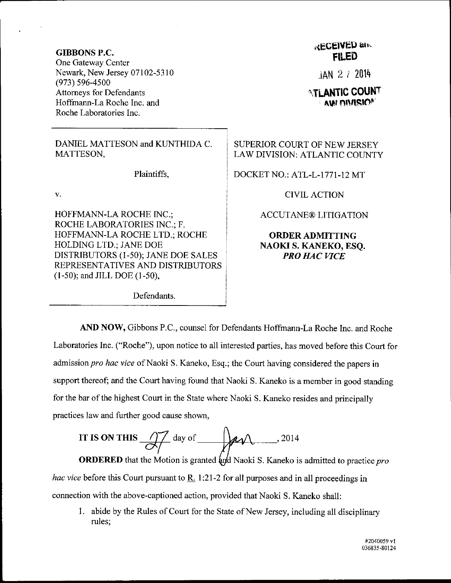GIBBONS P.C. One Gateway Center Newark, New Jersey 07102-5310 (973) s96-4s00 Attorneys for Defendants Hoffmann-La Roche Inc. and Roche Laboratories Inc.

DANIEL MATTESON and KUNTHIDA C. MATTESON,

Plaintiffs,

v.

HOFFMANN-LA ROCHE INC.; ROCHE LABORATORIES INC.; F. HOFFMANN-LA ROCHE LTD.; ROCHE HOLDING LTD.; JANE DOE DISTRIBUTORS (l-50); JANE DoE SALES REPRESENTATIVES AND DISTRIBUTORS  $(1-50)$ ; and JILL DOE  $(1-50)$ ,

Defendants.

## \*kGEIVED atu **FILED**

 $JAN$  2  $7$  2014

## **ATLANTIC COUNT** AM DIVISIO<sup>®</sup>

## SUPERIOR COURT OF NEW JERSEY LAW DIVISION: ATLANTIC COUNTY

DOCKET NO.: ATL-L-1771-12 MT

CIVIL ACTION

ACCUTANE@ LITIGATION

ORDERADMITTING NAOKI S. KANEKO, ESQ. PRO HAC VICE

AND NOW, Gibbons P.C., counsel for Defendants Hoffmann-La Roche Inc. and Roche Laboratories Inc. ("Roche"), upon notice to all interested parties, has moved before this Court for admission pro hac vice of Naoki S. Kaneko, Esq.; the Court having considered the papers in support thereof; and the Court having found that Naoki S. Kaneko is a member in good standing for the bar of the highest Court in the State where Naoki S. Kaneko resides and principally practices law and further good cause shown,

IT IS ON THIS 
$$
\frac{1}{\sqrt{2}} \text{ day of } \frac{1}{\sqrt{2}} \text{ day. } 2014
$$

**ORDERED** that the Motion is granted and Naoki S. Kaneko is admitted to practice pro *hac vice* before this Court pursuant to  $\underline{R}$ . 1:21-2 for all purposes and in all proceedings in connection with the above-captioned action, provided that Naoki S. Kaneko sha1l:

<sup>1</sup>. abide by the Rules of Court for the State of New Jersey, including all disciplinary rules;